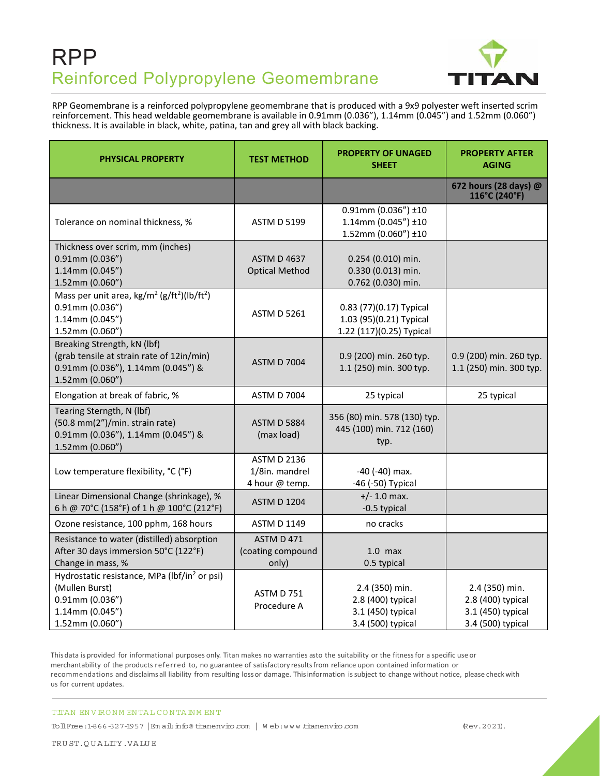## RPP Reinforced Polypropylene Geomembrane



RPP Geomembrane is a reinforced polypropylene geomembrane that is produced with a 9x9 polyester weft inserted scrim reinforcement. This head weldable geomembrane is available in 0.91mm (0.036"), 1.14mm (0.045") and 1.52mm (0.060") thickness. It is available in black, white, patina, tan and grey all with black backing.

| <b>PHYSICAL PROPERTY</b>                                                                                                                 | <b>TEST METHOD</b>                                     | <b>PROPERTY OF UNAGED</b><br><b>SHEET</b>                                      | <b>PROPERTY AFTER</b><br><b>AGING</b>                                         |
|------------------------------------------------------------------------------------------------------------------------------------------|--------------------------------------------------------|--------------------------------------------------------------------------------|-------------------------------------------------------------------------------|
|                                                                                                                                          |                                                        |                                                                                | 672 hours (28 days) @<br>116°C (240°F)                                        |
| Tolerance on nominal thickness, %                                                                                                        | <b>ASTM D 5199</b>                                     | $0.91$ mm (0.036") ±10<br>$1.14$ mm (0.045") ±10<br>$1.52$ mm (0.060") ±10     |                                                                               |
| Thickness over scrim, mm (inches)<br>$0.91$ mm $(0.036")$<br>1.14mm (0.045")<br>1.52mm (0.060")                                          | <b>ASTM D 4637</b><br><b>Optical Method</b>            | 0.254 (0.010) min.<br>0.330 (0.013) min.<br>0.762 (0.030) min.                 |                                                                               |
| Mass per unit area, $\text{kg/m}^2 \text{ (g/ft}^2)$ (lb/ft <sup>2</sup> )<br>$0.91$ mm $(0.036")$<br>1.14mm (0.045")<br>1.52mm (0.060") | <b>ASTM D 5261</b>                                     | 0.83 (77)(0.17) Typical<br>1.03 (95)(0.21) Typical<br>1.22 (117)(0.25) Typical |                                                                               |
| Breaking Strength, kN (lbf)<br>(grab tensile at strain rate of 12in/min)<br>0.91mm (0.036"), 1.14mm (0.045") &<br>1.52mm (0.060")        | <b>ASTM D 7004</b>                                     | 0.9 (200) min. 260 typ.<br>1.1 (250) min. 300 typ.                             | 0.9 (200) min. 260 typ.<br>1.1 (250) min. 300 typ.                            |
| Elongation at break of fabric, %                                                                                                         | <b>ASTM D 7004</b>                                     | 25 typical                                                                     | 25 typical                                                                    |
| Tearing Sterngth, N (lbf)<br>(50.8 mm(2")/min. strain rate)<br>0.91mm (0.036"), 1.14mm (0.045") &<br>1.52mm (0.060")                     | <b>ASTM D 5884</b><br>(max load)                       | 356 (80) min. 578 (130) typ.<br>445 (100) min. 712 (160)<br>typ.               |                                                                               |
| Low temperature flexibility, °C (°F)                                                                                                     | <b>ASTM D 2136</b><br>1/8in. mandrel<br>4 hour @ temp. | -40 (-40) max.<br>-46 (-50) Typical                                            |                                                                               |
| Linear Dimensional Change (shrinkage), %<br>6 h @ 70°C (158°F) of 1 h @ 100°C (212°F)                                                    | <b>ASTM D 1204</b>                                     | $+/- 1.0$ max.<br>-0.5 typical                                                 |                                                                               |
| Ozone resistance, 100 pphm, 168 hours                                                                                                    | <b>ASTM D 1149</b>                                     | no cracks                                                                      |                                                                               |
| Resistance to water (distilled) absorption<br>After 30 days immersion 50°C (122°F)<br>Change in mass, %                                  | ASTM D 471<br>(coating compound<br>only)               | $1.0$ max<br>0.5 typical                                                       |                                                                               |
| Hydrostatic resistance, MPa (lbf/in <sup>2</sup> or psi)<br>(Mullen Burst)<br>$0.91$ mm $(0.036")$<br>1.14mm (0.045")<br>1.52mm (0.060") | <b>ASTM D 751</b><br>Procedure A                       | 2.4 (350) min.<br>2.8 (400) typical<br>3.1 (450) typical<br>3.4 (500) typical  | 2.4 (350) min.<br>2.8 (400) typical<br>3.1 (450) typical<br>3.4 (500) typical |

This data is provided for informational purposes only. Titan makes no warranties asto the suitability or the fitness for a specific use or merchantability of the products re ferred to, no guarantee of satisfactory results from reliance upon contained information or recommendations and disclaims all liability from resulting loss or damage. This information is subject to change without notice, please check with us for current updates.

## TITAN EN VIRONM EN TAL CONTAINM ENT

TollFree:1-866-327-1957 |Em ail:info@ titanenviro.com | W eb:www.titanenviro.com (Rev.2021).